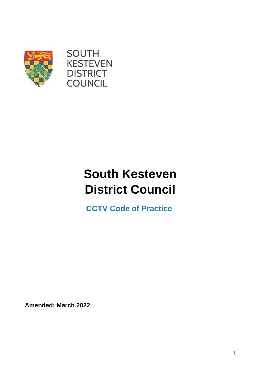



# **South Kesteven District Council**

 **CCTV Code of Practice**

**Amended: March 2022**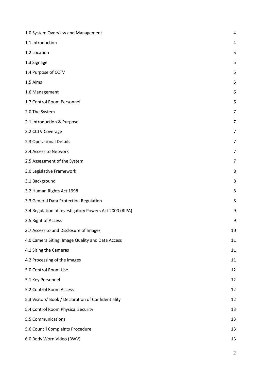| 1.0 System Overview and Management                     | 4  |
|--------------------------------------------------------|----|
| 1.1 Introduction                                       | 4  |
| 1.2 Location                                           | 5  |
| 1.3 Signage                                            | 5  |
| 1.4 Purpose of CCTV                                    | 5  |
| 1.5 Aims                                               | 5  |
| 1.6 Management                                         | 6  |
| 1.7 Control Room Personnel                             | 6  |
| 2.0 The System                                         | 7  |
| 2.1 Introduction & Purpose                             | 7  |
| 2.2 CCTV Coverage                                      | 7  |
| 2.3 Operational Details                                | 7  |
| 2.4 Access to Network                                  | 7  |
| 2.5 Assessment of the System                           | 7  |
| 3.0 Legislative Framework                              | 8  |
| 3.1 Background                                         | 8  |
| 3.2 Human Rights Act 1998                              | 8  |
| 3.3 General Data Protection Regulation                 | 8  |
| 3.4 Regulation of Investigatory Powers Act 2000 (RIPA) | 9  |
| 3.5 Right of Access                                    | 9  |
| 3.7 Access to and Disclosure of Images                 | 10 |
| 4.0 Camera Siting, Image Quality and Data Access       | 11 |
| 4.1 Siting the Cameras                                 | 11 |
| 4.2 Processing of the images                           | 11 |
| 5.0 Control Room Use                                   | 12 |
| 5.1 Key Personnel                                      | 12 |
| 5.2 Control Room Access                                | 12 |
| 5.3 Visitors' Book / Declaration of Confidentiality    | 12 |
| 5.4 Control Room Physical Security                     | 13 |
| 5.5 Communications                                     | 13 |
| 5.6 Council Complaints Procedure                       | 13 |
| 6.0 Body Worn Video (BWV)                              | 13 |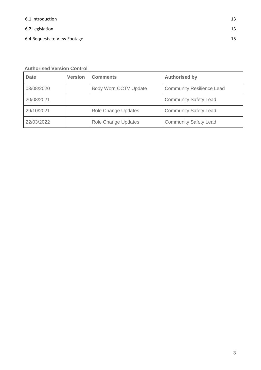[6.2 Legislation](#page-12-5) 13

[6.4 Requests to View Footage](#page-14-0) 15

| <b>Date</b> | <b>Version</b> | <b>Comments</b>              | <b>Authorised by</b>             |
|-------------|----------------|------------------------------|----------------------------------|
| 03/08/2020  |                | <b>Body Worn CCTV Update</b> | <b>Community Resilience Lead</b> |
| 20/08/2021  |                |                              | <b>Community Safety Lead</b>     |
| 29/10/2021  |                | Role Change Updates          | <b>Community Safety Lead</b>     |
| 22/03/2022  |                | <b>Role Change Updates</b>   | <b>Community Safety Lead</b>     |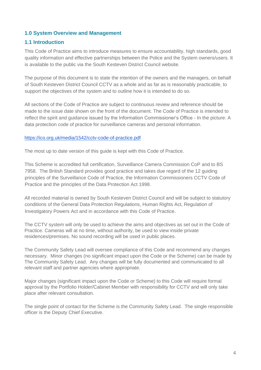## <span id="page-3-0"></span>**1.0 System Overview and Management**

## <span id="page-3-1"></span>**1.1 Introduction**

This Code of Practice aims to introduce measures to ensure accountability, high standards, good quality information and effective partnerships between the Police and the System owners/users. It is available to the public via the South Kesteven District Council website.

The purpose of this document is to state the intention of the owners and the managers, on behalf of South Kesteven District Council CCTV as a whole and as far as is reasonably practicable, to support the objectives of the system and to outline how it is intended to do so.

All sections of the Code of Practice are subject to continuous review and reference should be made to the issue date shown on the front of the document. The Code of Practice is intended to reflect the spirit and guidance issued by the Information Commissioner's Office - In the picture: A data protection code of practice for surveillance cameras and personal information.

#### <https://ico.org.uk/media/1542/cctv-code-of-practice.pdf>

The most up to date version of this guide is kept with this Code of Practice.

This Scheme is accredited full certification, Surveillance Camera Commission CoP and to BS 7958. The British Standard provides good practice and takes due regard of the 12 guiding principles of the Surveillance Code of Practice, the Information Commissioners CCTV Code of Practice and the principles of the Data Protection Act 1998.

All recorded material is owned by South Kesteven District Council and will be subject to statutory conditions of the General Data Protection Regulations, Human Rights Act, Regulation of Investigatory Powers Act and in accordance with this Code of Practice.

The CCTV system will only be used to achieve the aims and objectives as set out in the Code of Practice. Cameras will at no time, without authority, be used to view inside private residences/premises. No sound recording will be used in public places.

The Community Safety Lead will oversee compliance of this Code and recommend any changes necessary. Minor changes (no significant impact upon the Code or the Scheme) can be made by The Community Safety Lead. Any changes will be fully documented and communicated to all relevant staff and partner agencies where appropriate.

Major changes (significant impact upon the Code or Scheme) to this Code will require formal approval by the Portfolio Holder/Cabinet Member with responsibility for CCTV and will only take place after relevant consultation.

The single point of contact for the Scheme is the Community Safety Lead. The single responsible officer is the Deputy Chief Executive.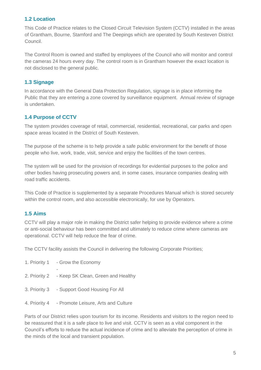# <span id="page-4-0"></span>**1.2 Location**

This Code of Practice relates to the Closed Circuit Television System (CCTV) installed in the areas of Grantham, Bourne, Stamford and The Deepings which are operated by South Kesteven District Council.

The Control Room is owned and staffed by employees of the Council who will monitor and control the cameras 24 hours every day. The control room is in Grantham however the exact location is not disclosed to the general public.

# <span id="page-4-1"></span>**1.3 Signage**

In accordance with the General Data Protection Regulation, signage is in place informing the Public that they are entering a zone covered by surveillance equipment. Annual review of signage is undertaken.

# <span id="page-4-2"></span>**1.4 Purpose of CCTV**

The system provides coverage of retail, commercial, residential, recreational, car parks and open space areas located in the District of South Kesteven.

The purpose of the scheme is to help provide a safe public environment for the benefit of those people who live, work, trade, visit, service and enjoy the facilities of the town centres.

The system will be used for the provision of recordings for evidential purposes to the police and other bodies having prosecuting powers and, in some cases, insurance companies dealing with road traffic accidents.

This Code of Practice is supplemented by a separate Procedures Manual which is stored securely within the control room, and also accessible electronically, for use by Operators.

# <span id="page-4-3"></span>**1.5 Aims**

CCTV will play a major role in making the District safer helping to provide evidence where a crime or anti-social behaviour has been committed and ultimately to reduce crime where cameras are operational. CCTV will help reduce the fear of crime.

The CCTV facility assists the Council in delivering the following Corporate Priorities;

| 1. Priority 1 - Grow the Economy                 |  |
|--------------------------------------------------|--|
| 2. Priority 2 - Keep SK Clean, Green and Healthy |  |
| 3. Priority 3 - Support Good Housing For All     |  |
|                                                  |  |

4. Priority 4 - Promote Leisure, Arts and Culture

Parts of our District relies upon tourism for its income. Residents and visitors to the region need to be reassured that it is a safe place to live and visit. CCTV is seen as a vital component in the Council's efforts to reduce the actual incidence of crime and to alleviate the perception of crime in the minds of the local and transient population.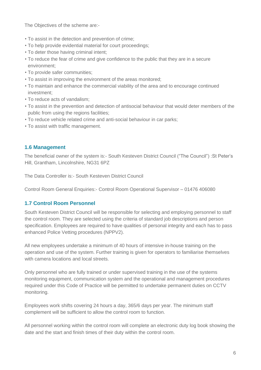The Objectives of the scheme are:-

- To assist in the detection and prevention of crime;
- To help provide evidential material for court proceedings;
- To deter those having criminal intent;
- To reduce the fear of crime and give confidence to the public that they are in a secure environment;
- To provide safer communities;
- To assist in improving the environment of the areas monitored;
- To maintain and enhance the commercial viability of the area and to encourage continued investment;
- To reduce acts of vandalism;
- To assist in the prevention and detection of antisocial behaviour that would deter members of the public from using the regions facilities;
- To reduce vehicle related crime and anti-social behaviour in car parks;
- To assist with traffic management.

# <span id="page-5-0"></span>**1.6 Management**

The beneficial owner of the system is:- South Kesteven District Council ("The Council") :St Peter's Hill, Grantham, Lincolnshire, NG31 6PZ

The Data Controller is:- South Kesteven District Council

Control Room General Enquiries:- Control Room Operational Supervisor – 01476 406080

# <span id="page-5-1"></span>**1.7 Control Room Personnel**

South Kesteven District Council will be responsible for selecting and employing personnel to staff the control room. They are selected using the criteria of standard job descriptions and person specification. Employees are required to have qualities of personal integrity and each has to pass enhanced Police Vetting procedures (NPPV2).

All new employees undertake a minimum of 40 hours of intensive in-house training on the operation and use of the system. Further training is given for operators to familiarise themselves with camera locations and local streets.

Only personnel who are fully trained or under supervised training in the use of the systems monitoring equipment, communication system and the operational and management procedures required under this Code of Practice will be permitted to undertake permanent duties on CCTV monitoring.

Employees work shifts covering 24 hours a day, 365/6 days per year. The minimum staff complement will be sufficient to allow the control room to function.

All personnel working within the control room will complete an electronic duty log book showing the date and the start and finish times of their duty within the control room.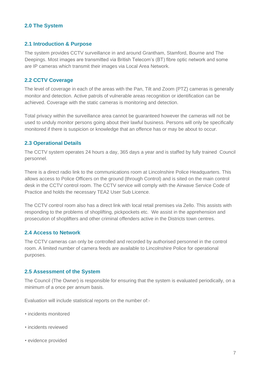## <span id="page-6-0"></span>**2.0 The System**

#### <span id="page-6-1"></span>**2.1 Introduction & Purpose**

The system provides CCTV surveillance in and around Grantham, Stamford, Bourne and The Deepings. Most images are transmitted via British Telecom's (BT) fibre optic network and some are IP cameras which transmit their images via Local Area Network.

#### <span id="page-6-2"></span>**2.2 CCTV Coverage**

The level of coverage in each of the areas with the Pan, Tilt and Zoom (PTZ) cameras is generally monitor and detection. Active patrols of vulnerable areas recognition or identification can be achieved. Coverage with the static cameras is monitoring and detection.

Total privacy within the surveillance area cannot be guaranteed however the cameras will not be used to unduly monitor persons going about their lawful business. Persons will only be specifically monitored if there is suspicion or knowledge that an offence has or may be about to occur.

#### <span id="page-6-3"></span>**2.3 Operational Details**

The CCTV system operates 24 hours a day, 365 days a year and is staffed by fully trained Council personnel.

There is a direct radio link to the communications room at Lincolnshire Police Headquarters. This allows access to Police Officers on the ground (through Control) and is sited on the main control desk in the CCTV control room. The CCTV service will comply with the Airwave Service Code of Practice and holds the necessary TEA2 User Sub Licence.

The CCTV control room also has a direct link with local retail premises via Zello. This assists with responding to the problems of shoplifting, pickpockets etc. We assist in the apprehension and prosecution of shoplifters and other criminal offenders active in the Districts town centres.

#### <span id="page-6-4"></span>**2.4 Access to Network**

The CCTV cameras can only be controlled and recorded by authorised personnel in the control room. A limited number of camera feeds are available to Lincolnshire Police for operational purposes.

#### <span id="page-6-5"></span>**2.5 Assessment of the System**

The Council (The Owner) is responsible for ensuring that the system is evaluated periodically, on a minimum of a once per annum basis.

Evaluation will include statistical reports on the number of:-

- incidents monitored
- incidents reviewed
- evidence provided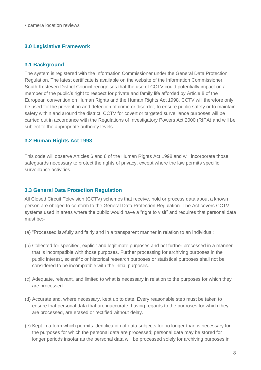# <span id="page-7-0"></span>**3.0 Legislative Framework**

# <span id="page-7-1"></span>**3.1 Background**

The system is registered with the Information Commissioner under the General Data Protection Regulation. The latest certificate is available on the website of the Information Commissioner. South Kesteven District Council recognises that the use of CCTV could potentially impact on a member of the public's right to respect for private and family life afforded by Article 8 of the European convention on Human Rights and the Human Rights Act 1998. CCTV will therefore only be used for the prevention and detection of crime or disorder, to ensure public safety or to maintain safety within and around the district. CCTV for covert or targeted surveillance purposes will be carried out in accordance with the Regulations of Investigatory Powers Act 2000 (RIPA) and will be subject to the appropriate authority levels.

# <span id="page-7-2"></span>**3.2 Human Rights Act 1998**

This code will observe Articles 6 and 8 of the Human Rights Act 1998 and will incorporate those safeguards necessary to protect the rights of privacy, except where the law permits specific surveillance activities.

# <span id="page-7-3"></span>**3.3 General Data Protection Regulation**

All Closed Circuit Television (CCTV) schemes that receive, hold or process data about a known person are obliged to conform to the General Data Protection Regulation. The Act covers CCTV systems used in areas where the public would have a "right to visit" and requires that personal data must be:-

- (a) "Processed lawfully and fairly and in a transparent manner in relation to an Individual;
- (b) Collected for specified, explicit and legitimate purposes and not further processed in a manner that is incompatible with those purposes. Further processing for archiving purposes in the public interest, scientific or historical research purposes or statistical purposes shall not be considered to be incompatible with the initial purposes.
- (c) Adequate, relevant, and limited to what is necessary in relation to the purposes for which they are processed.
- (d) Accurate and, where necessary, kept up to date. Every reasonable step must be taken to ensure that personal data that are inaccurate, having regards to the purposes for which they are processed, are erased or rectified without delay.
- (e) Kept in a form which permits identification of data subjects for no longer than is necessary for the purposes for which the personal data are processed; personal data may be stored for longer periods insofar as the personal data will be processed solely for archiving purposes in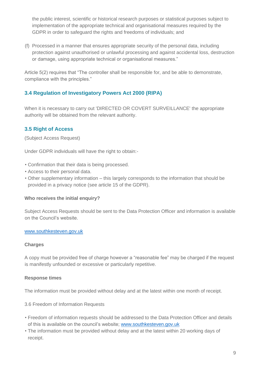the public interest, scientific or historical research purposes or statistical purposes subject to implementation of the appropriate technical and organisational measures required by the GDPR in order to safeguard the rights and freedoms of individuals; and

(f) Processed in a manner that ensures appropriate security of the personal data, including protection against unauthorised or unlawful processing and against accidental loss, destruction or damage, using appropriate technical or organisational measures."

Article 5(2) requires that "The controller shall be responsible for, and be able to demonstrate, compliance with the principles."

# <span id="page-8-0"></span>**3.4 Regulation of Investigatory Powers Act 2000 (RIPA)**

When it is necessary to carry out 'DIRECTED OR COVERT SURVEILLANCE' the appropriate authority will be obtained from the relevant authority.

# <span id="page-8-1"></span>**3.5 Right of Access**

(Subject Access Request)

Under GDPR individuals will have the right to obtain:-

- Confirmation that their data is being processed.
- Access to their personal data.
- Other supplementary information this largely corresponds to the information that should be provided in a privacy notice (see article 15 of the GDPR).

#### **Who receives the initial enquiry?**

Subject Access Requests should be sent to the Data Protection Officer and information is available on the Council's website.

## [www.southkesteven.gov.uk](http://www.southkesteven.gov.uk/)

#### **Charges**

A copy must be provided free of charge however a "reasonable fee" may be charged if the request is manifestly unfounded or excessive or particularly repetitive.

#### **Response times**

The information must be provided without delay and at the latest within one month of receipt.

3.6 Freedom of Information Requests

- Freedom of information requests should be addressed to the Data Protection Officer and details of this is available on the council's website; [www.southkesteven.gov.uk](http://www.southkesteven.gov.uk/)
- The information must be provided without delay and at the latest within 20 working days of receipt.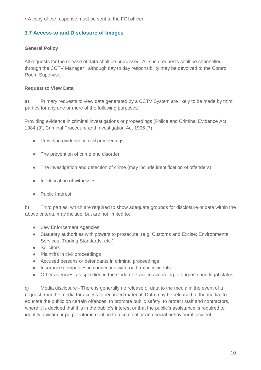• A copy of the response must be sent to the FOI officer.

# <span id="page-9-0"></span>**3.7 Access to and Disclosure of Images**

## **General Policy**

All requests for the release of data shall be processed. All such requests shall be channelled through the CCTV Manager , although day to day responsibility may be devolved to the Control Room Supervisor.

#### **Request to View Data**

a) Primary requests to view data generated by a CCTV System are likely to be made by third parties for any one or more of the following purposes:

Providing evidence in criminal investigations or proceedings (Police and Criminal Evidence Act 1984 (9), Criminal Procedure and Investigation Act 1996 (7).

- Providing evidence in civil proceedings.
- The prevention of crime and disorder
- The investigation and detection of crime (may include identification of offenders)
- Identification of witnesses
- Public Interest

b) Third parties, which are required to show adequate grounds for disclosure of data within the above criteria, may include, but are not limited to:

- Law Enforcement Agencies
- Statutory authorities with powers to prosecute, (e.g. Customs and Excise; Environmental Services; Trading Standards, etc.)
- Solicitors
- Plaintiffs in civil proceedings
- Accused persons or defendants in criminal proceedings
- Insurance companies in connection with road traffic incidents
- Other agencies, as specified in the Code of Practice according to purpose and legal status.

c) Media disclosure - There is generally no release of data to the media in the event of a request from the media for access to recorded material. Data may be released to the media, to educate the public on certain offences, to promote public safety, to protect staff and contractors, where it is decided that it is in the public's interest or that the public's assistance is required to identify a victim or perpetrator in relation to a criminal or anti-social behavioural incident.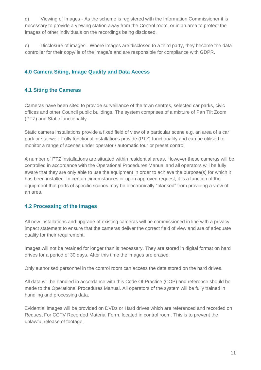d) Viewing of Images - As the scheme is registered with the Information Commissioner it is necessary to provide a viewing station away from the Control room, or in an area to protect the images of other individuals on the recordings being disclosed.

e) Disclosure of images - Where images are disclosed to a third party, they become the data controller for their copy/ ie of the image/s and are responsible for compliance with GDPR.

# <span id="page-10-0"></span>**4.0 Camera Siting, Image Quality and Data Access**

# <span id="page-10-1"></span>**4.1 Siting the Cameras**

Cameras have been sited to provide surveillance of the town centres, selected car parks, civic offices and other Council public buildings. The system comprises of a mixture of Pan Tilt Zoom (PTZ) and Static functionality.

Static camera installations provide a fixed field of view of a particular scene e.g. an area of a car park or stairwell. Fully functional installations provide (PTZ) functionality and can be utilised to monitor a range of scenes under operator / automatic tour or preset control.

A number of PTZ installations are situated within residential areas. However these cameras will be controlled in accordance with the Operational Procedures Manual and all operators will be fully aware that they are only able to use the equipment in order to achieve the purpose(s) for which it has been installed. In certain circumstances or upon approved request, it is a function of the equipment that parts of specific scenes may be electronically "blanked" from providing a view of an area.

# <span id="page-10-2"></span>**4.2 Processing of the images**

All new installations and upgrade of existing cameras will be commissioned in line with a privacy impact statement to ensure that the cameras deliver the correct field of view and are of adequate quality for their requirement.

Images will not be retained for longer than is necessary. They are stored in digital format on hard drives for a period of 30 days. After this time the images are erased.

Only authorised personnel in the control room can access the data stored on the hard drives.

All data will be handled in accordance with this Code Of Practice (COP) and reference should be made to the Operational Procedures Manual. All operators of the system will be fully trained in handling and processing data.

Evidential images will be provided on DVDs or Hard drives which are referenced and recorded on Request For CCTV Recorded Material Form, located in control room. This is to prevent the unlawful release of footage.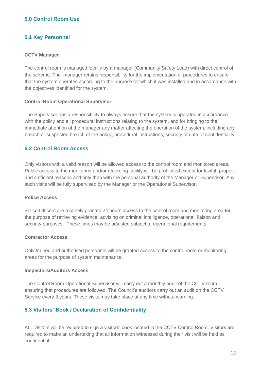# <span id="page-11-0"></span>**5.0 Control Room Use**

# <span id="page-11-1"></span>**5.1 Key Personnel**

#### **CCTV Manager**

The control room is managed locally by a manager (Community Safety Lead) with direct control of the scheme. The manager retains responsibility for the implementation of procedures to ensure that the system operates according to the purpose for which it was installed and in accordance with the objectives identified for the system.

#### **Control Room Operational Supervisor**

The Supervisor has a responsibility to always ensure that the system is operated in accordance with the policy and all procedural instructions relating to the system, and for bringing to the immediate attention of the manager any matter affecting the operation of the system, including any breach or suspected breach of the policy, procedural instructions, security of data or confidentiality.

## <span id="page-11-2"></span>**5.2 Control Room Access**

Only visitors with a valid reason will be allowed access to the control room and monitored areas. Public access to the monitoring and/or recording facility will be prohibited except for lawful, proper, and sufficient reasons and only then with the personal authority of the Manager or Supervisor. Any such visits will be fully supervised by the Manager or the Operational Supervisor.

#### **Police Access**

Police Officers are routinely granted 24 hours access to the control room and monitoring area for the purpose of retrieving evidence, advising on criminal intelligence, operational, liaison and security purposes. These times may be adjusted subject to operational requirements.

#### **Contractor Access**

Only trained and authorised personnel will be granted access to the control room or monitoring areas for the purpose of system maintenance.

#### **Inspectors/Auditors Access**

The Control Room Operational Supervisor will carry out a monthly audit of the CCTV room ensuring that procedures are followed. The Council's auditors carry out an audit on the CCTV Service every 3 years. These visits may take place at any time without warning.

# <span id="page-11-3"></span>**5.3 Visitors' Book / Declaration of Confidentiality**

ALL visitors will be required to sign a visitors' book located in the CCTV Control Room. Visitors are required to make an undertaking that all information witnessed during their visit will be held as confidential.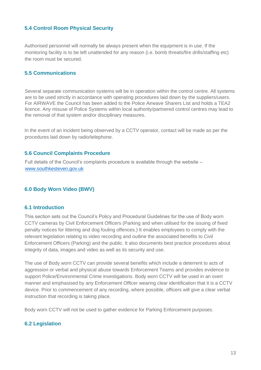# <span id="page-12-0"></span>**5.4 Control Room Physical Security**

Authorised personnel will normally be always present when the equipment is in use. If the monitoring facility is to be left unattended for any reason (i.e. bomb threats/fire drills/staffing etc) the room must be secured.

# <span id="page-12-1"></span>**5.5 Communications**

Several separate communication systems will be in operation within the control centre. All systems are to be used strictly in accordance with operating procedures laid down by the suppliers/users. For AIRWAVE the Council has been added to the Police Airwave Sharers List and holds a TEA2 licence. Any misuse of Police Systems within local authority/partnered control centres may lead to the removal of that system and/or disciplinary measures.

In the event of an incident being observed by a CCTV operator, contact will be made as per the procedures laid down by radio/telephone.

## <span id="page-12-2"></span>**5.6 Council Complaints Procedure**

Full details of the Council's complaints procedure is available through the website – [www.southkesteven.gov.uk](http://www.southkesteven.gov.uk/)

# <span id="page-12-3"></span>**6.0 Body Worn Video (BWV)**

#### <span id="page-12-4"></span>**6.1 Introduction**

This section sets out the Council's Policy and Procedural Guidelines for the use of Body worn CCTV cameras by Civil Enforcement Officers (Parking and when utilised for the issuing of fixed penalty notices for littering and dog fouling offences.) It enables employees to comply with the relevant legislation relating to video recording and outline the associated benefits to Civil Enforcement Officers (Parking) and the public. It also documents best practice procedures about integrity of data, images and video as well as its security and use.

The use of Body worn CCTV can provide several benefits which include a deterrent to acts of aggression or verbal and physical abuse towards Enforcement Teams and provides evidence to support Police/Environmental Crime investigations. Body worn CCTV will be used in an overt manner and emphasised by any Enforcement Officer wearing clear identification that it is a CCTV device. Prior to commencement of any recording, where possible, officers will give a clear verbal instruction that recording is taking place.

Body worn CCTV will not be used to gather evidence for Parking Enforcement purposes.

# <span id="page-12-5"></span>**6.2 Legislation**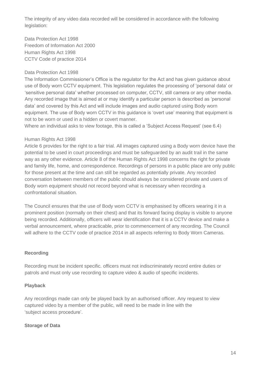The integrity of any video data recorded will be considered in accordance with the following legislation:

Data Protection Act 1998 Freedom of Information Act 2000 Human Rights Act 1998 CCTV Code of practice 2014

## Data Protection Act 1998

The Information Commissioner's Office is the regulator for the Act and has given guidance about use of Body worn CCTV equipment. This legislation regulates the processing of 'personal data' or 'sensitive personal data' whether processed on computer, CCTV, still camera or any other media. Any recorded image that is aimed at or may identify a particular person is described as 'personal data' and covered by this Act and will include images and audio captured using Body worn equipment. The use of Body worn CCTV in this guidance is 'overt use' meaning that equipment is not to be worn or used in a hidden or covert manner.

Where an individual asks to view footage, this is called a 'Subject Access Request' (see 6.4)

#### Human Rights Act 1998

Article 6 provides for the right to a fair trial. All images captured using a Body worn device have the potential to be used in court proceedings and must be safeguarded by an audit trail in the same way as any other evidence. Article 8 of the Human Rights Act 1998 concerns the right for private and family life, home, and correspondence. Recordings of persons in a public place are only public for those present at the time and can still be regarded as potentially private. Any recorded conversation between members of the public should always be considered private and users of Body worn equipment should not record beyond what is necessary when recording a confrontational situation.

The Council ensures that the use of Body worn CCTV is emphasised by officers wearing it in a prominent position (normally on their chest) and that its forward facing display is visible to anyone being recorded. Additionally, officers will wear identification that it is a CCTV device and make a verbal announcement, where practicable, prior to commencement of any recording. The Council will adhere to the CCTV code of practice 2014 in all aspects referring to Body Worn Cameras.

#### **Recording**

Recording must be incident specific. officers must not indiscriminately record entire duties or patrols and must only use recording to capture video & audio of specific incidents.

#### **Playback**

Any recordings made can only be played back by an authorised officer. Any request to view captured video by a member of the public, will need to be made in line with the 'subject access procedure'.

#### **Storage of Data**